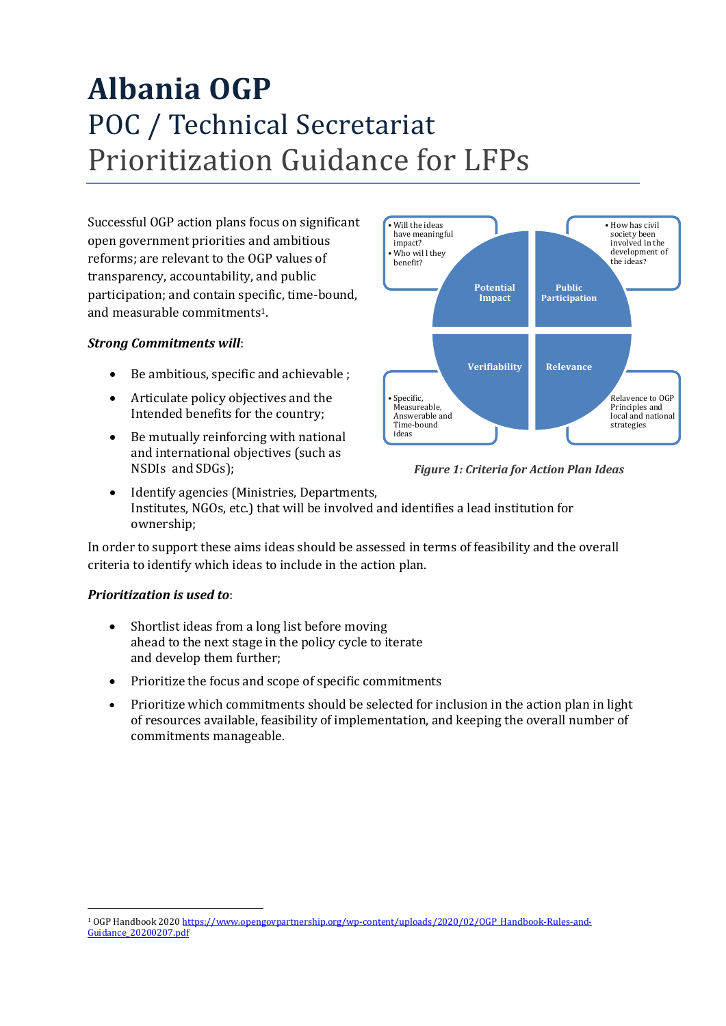# **Albania OGP**  POC / Technical Secretariat Prioritization Guidance for LFPs

Successful OGP action plans focus on significant open government priorities and ambitious reforms; are relevant to the OGP values of transparency, accountability, and public participation; and contain specific, time-bound, and measurable commitments1.

### *Strong Commitments will*:

- Be ambitious, specific and achievable ;
- Articulate policy objectives and the Intended benefits for the country;
- Be mutually reinforcing with national and international objectives (such as NSDIs and SDGs);



*Figure 1: Criteria for Action Plan Ideas*

• Identify agencies (Ministries, Departments, Institutes, NGOs, etc.) that will be involved and identifies a lead institution for ownership;

In order to support these aims ideas should be assessed in terms of feasibility and the overall criteria to identify which ideas to include in the action plan.

#### *Prioritization is used to*:

- Shortlist ideas from a long list before moving ahead to the next stage in the policy cycle to iterate and develop them further;
- Prioritize the focus and scope of specific commitments
- Prioritize which commitments should be selected for inclusion in the action plan in light of resources available, feasibility of implementation, and keeping the overall number of commitments manageable.

 $\overline{a}$ <sup>1</sup> OGP Handbook 2020 [https://www.opengovpartnership.org/wp-content/uploads/2020/02/OGP\\_Handbook-Rules-and-](https://www.opengovpartnership.org/wp-content/uploads/2020/02/OGP_Handbook-Rules-and-Guidance_20200207.pdf)[Guidance\\_20200207.pdf](https://www.opengovpartnership.org/wp-content/uploads/2020/02/OGP_Handbook-Rules-and-Guidance_20200207.pdf)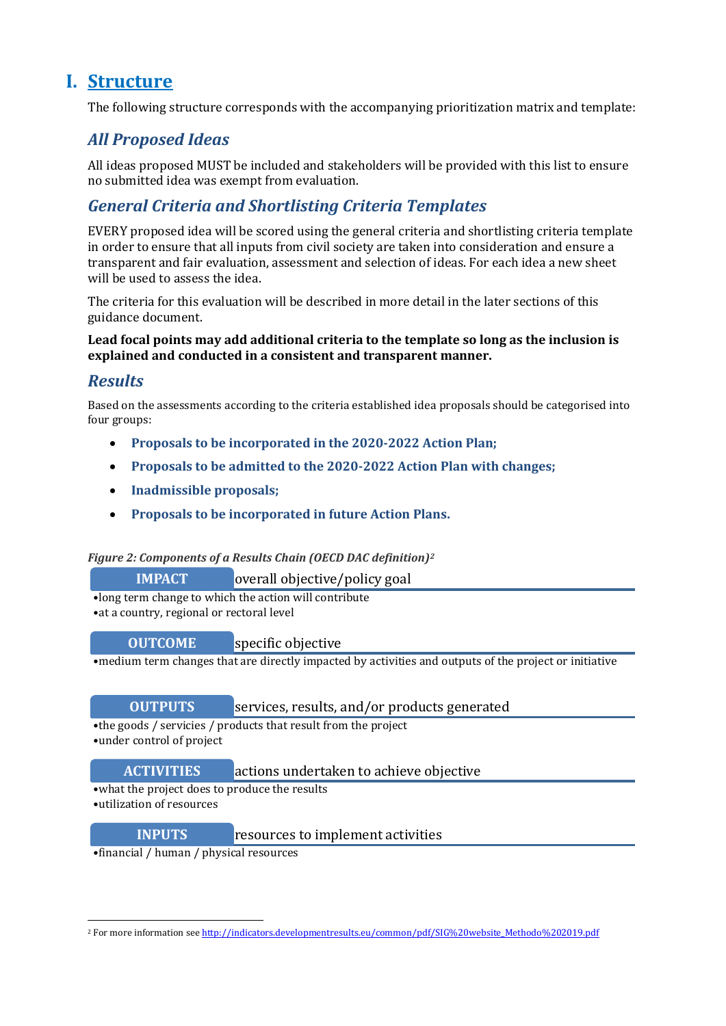## **I. Structure**

The following structure corresponds with the accompanying prioritization matrix and template:

## *All Proposed Ideas*

All ideas proposed MUST be included and stakeholders will be provided with this list to ensure no submitted idea was exempt from evaluation.

## *General Criteria and Shortlisting Criteria Templates*

EVERY proposed idea will be scored using the general criteria and shortlisting criteria template in order to ensure that all inputs from civil society are taken into consideration and ensure a transparent and fair evaluation, assessment and selection of ideas. For each idea a new sheet will be used to assess the idea.

The criteria for this evaluation will be described in more detail in the later sections of this guidance document.

#### **Lead focal points may add additional criteria to the template so long as the inclusion is explained and conducted in a consistent and transparent manner.**

## *Results*

Based on the assessments according to the criteria established idea proposals should be categorised into four groups:

- **Proposals to be incorporated in the 2020-2022 Action Plan;**
- **Proposals to be admitted to the 2020-2022 Action Plan with changes;**
- **Inadmissible proposals;**
- **Proposals to be incorporated in future Action Plans.**

#### *Figure 2: Components of a Results Chain (OECD DAC definition)<sup>2</sup>*

| <b>IMPACT</b><br>overall objective/policy goal |  |
|------------------------------------------------|--|
|------------------------------------------------|--|

•long term change to which the action will contribute

•at a country, regional or rectoral level

**OUTCOME** specific objective

•medium term changes that are directly impacted by activities and outputs of the project or initiative

**OUTPUTS** services, results, and/or products generated

•the goods / servicies / products that result from the project

•under control of project

1

#### **ACTIVITIES** actions undertaken to achieve objective

•what the project does to produce the results

•utilization of resources

#### **INPUTS** resources to implement activities

•financial / human / physical resources

<sup>&</sup>lt;sup>2</sup> For more information se[e http://indicators.developmentresults.eu/common/pdf/SIG%20website\\_Methodo%202019.pdf](http://indicators.developmentresults.eu/common/pdf/SIG%20website_Methodo%202019.pdf)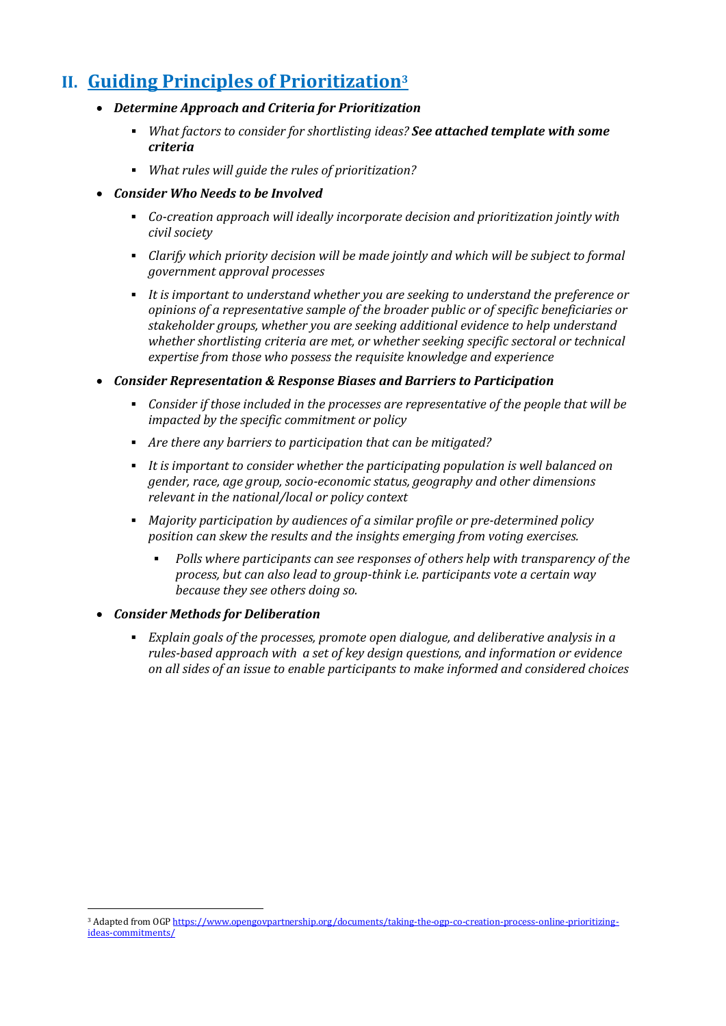## **II. Guiding Principles of Prioritization<sup>3</sup>**

- *Determine Approach and Criteria for Prioritization*
	- *What factors to consider for shortlisting ideas? See attached template with some criteria*
	- *What rules will guide the rules of prioritization?*
- *Consider Who Needs to be Involved*
	- *Co-creation approach will ideally incorporate decision and prioritization jointly with civil society*
	- *Clarify which priority decision will be made jointly and which will be subject to formal government approval processes*
	- *It is important to understand whether you are seeking to understand the preference or opinions of a representative sample of the broader public or of specific beneficiaries or stakeholder groups, whether you are seeking additional evidence to help understand whether shortlisting criteria are met, or whether seeking specific sectoral or technical expertise from those who possess the requisite knowledge and experience*
- *Consider Representation & Response Biases and Barriers to Participation*
	- *Consider if those included in the processes are representative of the people that will be impacted by the specific commitment or policy*
	- *Are there any barriers to participation that can be mitigated?*
	- *It is important to consider whether the participating population is well balanced on gender, race, age group, socio-economic status, geography and other dimensions relevant in the national/local or policy context*
	- *Majority participation by audiences of a similar profile or pre-determined policy position can skew the results and the insights emerging from voting exercises.* 
		- *Polls where participants can see responses of others help with transparency of the process, but can also lead to group-think i.e. participants vote a certain way because they see others doing so.*
- *Consider Methods for Deliberation*

 $\overline{a}$ 

 *Explain goals of the processes, promote open dialogue, and deliberative analysis in a rules-based approach with a set of key design questions, and information or evidence on all sides of an issue to enable participants to make informed and considered choices*

<sup>&</sup>lt;sup>3</sup> Adapted from OG[P https://www.opengovpartnership.org/documents/taking-the-ogp-co-creation-process-online-prioritizing](https://www.opengovpartnership.org/documents/taking-the-ogp-co-creation-process-online-prioritizing-ideas-commitments/)[ideas-commitments/](https://www.opengovpartnership.org/documents/taking-the-ogp-co-creation-process-online-prioritizing-ideas-commitments/)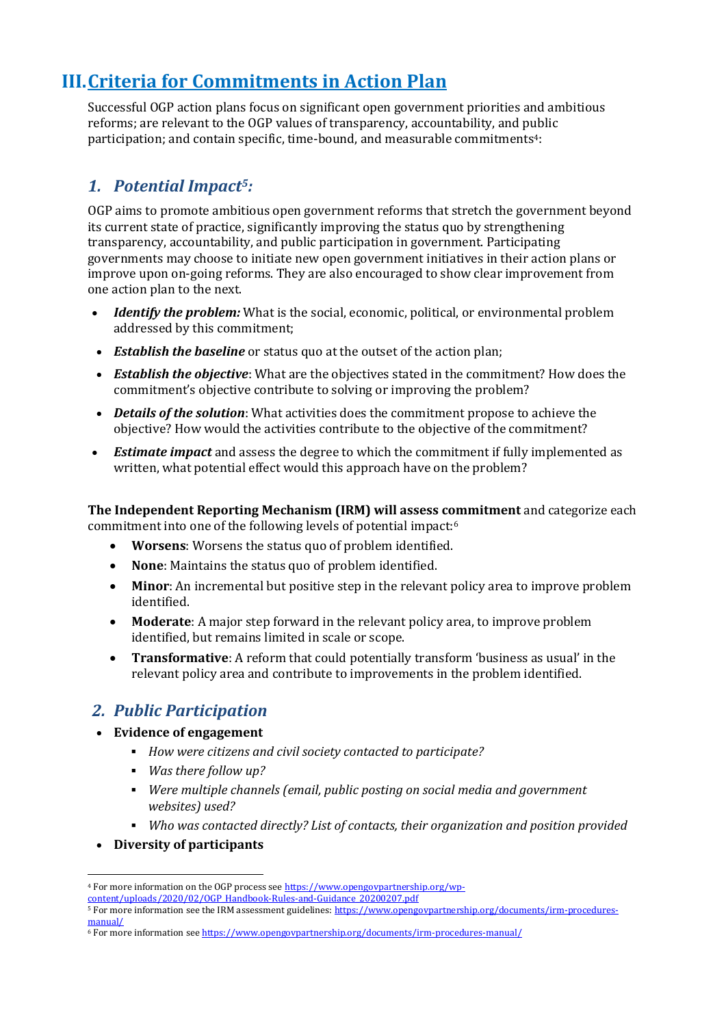## **III.Criteria for Commitments in Action Plan**

Successful OGP action plans focus on significant open government priorities and ambitious reforms; are relevant to the OGP values of transparency, accountability, and public participation; and contain specific, time-bound, and measurable commitments<sup>4</sup>:

## *1. Potential Impact5:*

OGP aims to promote ambitious open government reforms that stretch the government beyond its current state of practice, significantly improving the status quo by strengthening transparency, accountability, and public participation in government. Participating governments may choose to initiate new open government initiatives in their action plans or improve upon on-going reforms. They are also encouraged to show clear improvement from one action plan to the next.

- *Identify the problem:* What is the social, economic, political, or environmental problem addressed by this commitment;
- *Establish the baseline* or status quo at the outset of the action plan;
- *Establish the objective*: What are the objectives stated in the commitment? How does the commitment's objective contribute to solving or improving the problem?
- *Details of the solution*: What activities does the commitment propose to achieve the objective? How would the activities contribute to the objective of the commitment?
- *Estimate impact* and assess the degree to which the commitment if fully implemented as written, what potential effect would this approach have on the problem?

**The Independent Reporting Mechanism (IRM) will assess commitment** and categorize each commitment into one of the following levels of potential impact:<sup>6</sup>

- **Worsens**: Worsens the status quo of problem identified.
- **None**: Maintains the status quo of problem identified.
- **Minor**: An incremental but positive step in the relevant policy area to improve problem identified.
- **Moderate**: A major step forward in the relevant policy area, to improve problem identified, but remains limited in scale or scope.
- **Transformative**: A reform that could potentially transform 'business as usual' in the relevant policy area and contribute to improvements in the problem identified.

## *2. Public Participation*

- **Evidence of engagement**
	- *How were citizens and civil society contacted to participate?*
	- *Was there follow up?*
	- *Were multiple channels (email, public posting on social media and government websites) used?*
	- *Who was contacted directly? List of contacts, their organization and position provided*
- **Diversity of participants**

1

<sup>&</sup>lt;sup>4</sup> For more information on the OGP process se[e https://www.opengovpartnership.org/wp-](https://www.opengovpartnership.org/wp-content/uploads/2020/02/OGP_Handbook-Rules-and-Guidance_20200207.pdf)

[content/uploads/2020/02/OGP\\_Handbook-Rules-and-Guidance\\_20200207.pdf](https://www.opengovpartnership.org/wp-content/uploads/2020/02/OGP_Handbook-Rules-and-Guidance_20200207.pdf)

<sup>5</sup> For more information see the IRM assessment guidelines[: https://www.opengovpartnership.org/documents/irm-procedures](https://www.opengovpartnership.org/documents/irm-procedures-manual/)[manual/](https://www.opengovpartnership.org/documents/irm-procedures-manual/)

<sup>6</sup> For more information se[e https://www.opengovpartnership.org/documents/irm-procedures-manual/](https://www.opengovpartnership.org/documents/irm-procedures-manual/)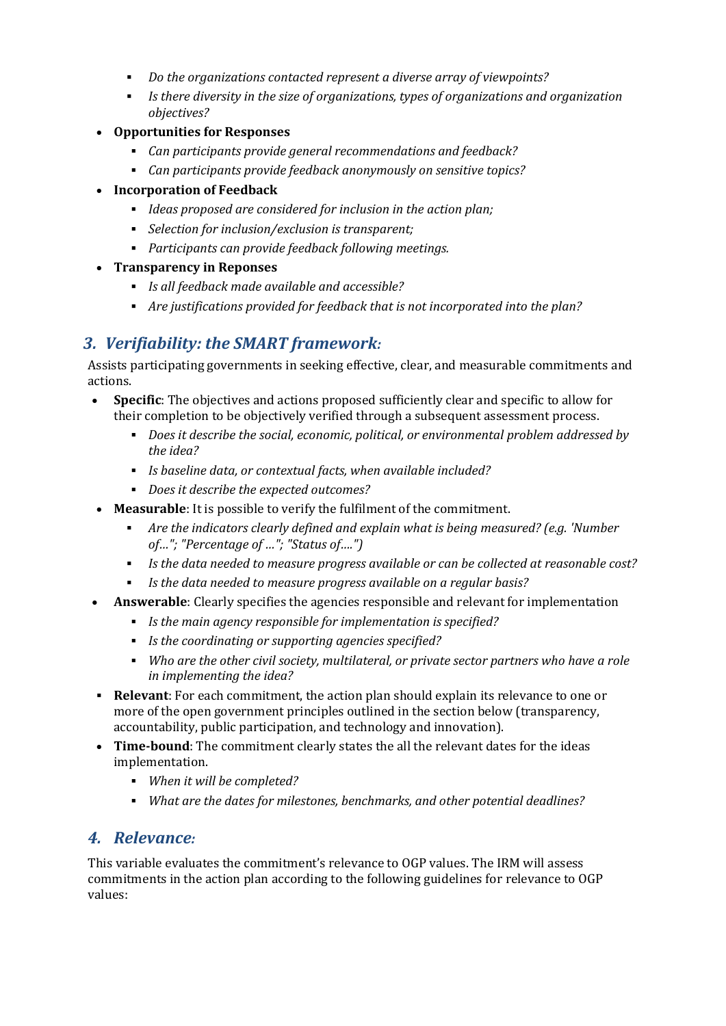- *Do the organizations contacted represent a diverse array of viewpoints?*
- *Is there diversity in the size of organizations, types of organizations and organization objectives?*
- **Opportunities for Responses**
	- *Can participants provide general recommendations and feedback?*
	- *Can participants provide feedback anonymously on sensitive topics?*
- **Incorporation of Feedback**
	- *Ideas proposed are considered for inclusion in the action plan;*
	- *Selection for inclusion/exclusion is transparent;*
	- *Participants can provide feedback following meetings.*
- **Transparency in Reponses**
	- *Is all feedback made available and accessible?*
	- *Are justifications provided for feedback that is not incorporated into the plan?*

## *3. Verifiability: the SMART framework:*

Assists participating governments in seeking effective, clear, and measurable commitments and actions.

- **Specific**: The objectives and actions proposed sufficiently clear and specific to allow for their completion to be objectively verified through a subsequent assessment process.
	- *Does it describe the social, economic, political, or environmental problem addressed by the idea?*
	- *Is baseline data, or contextual facts, when available included?*
	- *Does it describe the expected outcomes?*
- **Measurable**: It is possible to verify the fulfilment of the commitment.
	- *Are the indicators clearly defined and explain what is being measured? (e.g. 'Number of…"; "Percentage of …"; "Status of….")*
	- *Is the data needed to measure progress available or can be collected at reasonable cost?*
	- *Is the data needed to measure progress available on a regular basis?*
- **Answerable**: Clearly specifies the agencies responsible and relevant for implementation
	- *Is the main agency responsible for implementation is specified?*
	- *Is the coordinating or supporting agencies specified?*
	- *Who are the other civil society, multilateral, or private sector partners who have a role in implementing the idea?*
- **Relevant**: For each commitment, the action plan should explain its relevance to one or more of the open government principles outlined in the section below (transparency, accountability, public participation, and technology and innovation).
- **Time-bound**: The commitment clearly states the all the relevant dates for the ideas implementation.
	- *When it will be completed?*
	- *What are the dates for milestones, benchmarks, and other potential deadlines?*

## *4. Relevance:*

This variable evaluates the commitment's relevance to OGP values. The IRM will assess commitments in the action plan according to the following guidelines for relevance to OGP values: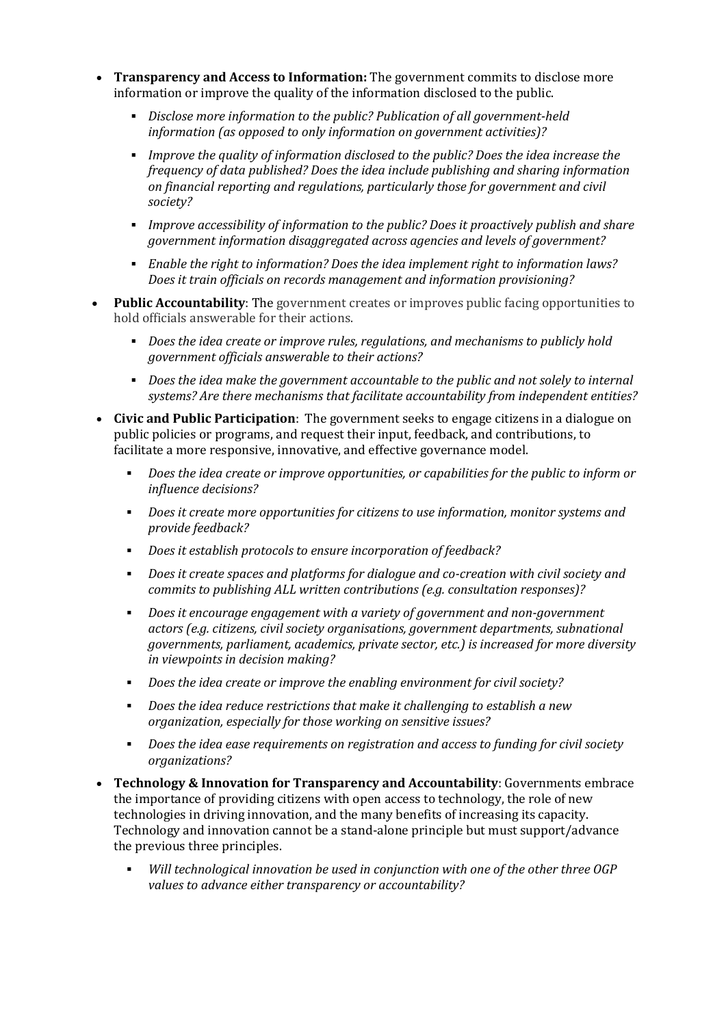- **Transparency and Access to Information:** The government commits to disclose more information or improve the quality of the information disclosed to the public.
	- *Disclose more information to the public? Publication of all government-held information (as opposed to only information on government activities)?*
	- *Improve the quality of information disclosed to the public? Does the idea increase the frequency of data published? Does the idea include publishing and sharing information on financial reporting and regulations, particularly those for government and civil society?*
	- *Improve accessibility of information to the public? Does it proactively publish and share government information disaggregated across agencies and levels of government?*
	- *Enable the right to information? Does the idea implement right to information laws? Does it train officials on records management and information provisioning?*
- **Public Accountability**: The government creates or improves public facing opportunities to hold officials answerable for their actions.
	- *Does the idea create or improve rules, regulations, and mechanisms to publicly hold government officials answerable to their actions?*
	- *Does the idea make the government accountable to the public and not solely to internal systems? Are there mechanisms that facilitate accountability from independent entities?*
- **Civic and Public Participation**: The government seeks to engage citizens in a dialogue on public policies or programs, and request their input, feedback, and contributions, to facilitate a more responsive, innovative, and effective governance model.
	- *Does the idea create or improve opportunities, or capabilities for the public to inform or influence decisions?*
	- *Does it create more opportunities for citizens to use information, monitor systems and provide feedback?*
	- *Does it establish protocols to ensure incorporation of feedback?*
	- *Does it create spaces and platforms for dialogue and co-creation with civil society and commits to publishing ALL written contributions (e.g. consultation responses)?*
	- *Does it encourage engagement with a variety of government and non-government actors (e.g. citizens, civil society organisations, government departments, subnational governments, parliament, academics, private sector, etc.) is increased for more diversity in viewpoints in decision making?*
	- *Does the idea create or improve the enabling environment for civil society?*
	- *Does the idea reduce restrictions that make it challenging to establish a new organization, especially for those working on sensitive issues?*
	- *Does the idea ease requirements on registration and access to funding for civil society organizations?*
- **Technology & Innovation for Transparency and Accountability**: Governments embrace the importance of providing citizens with open access to technology, the role of new technologies in driving innovation, and the many benefits of increasing its capacity. Technology and innovation cannot be a stand-alone principle but must support/advance the previous three principles.
	- *Will technological innovation be used in conjunction with one of the other three OGP values to advance either transparency or accountability?*